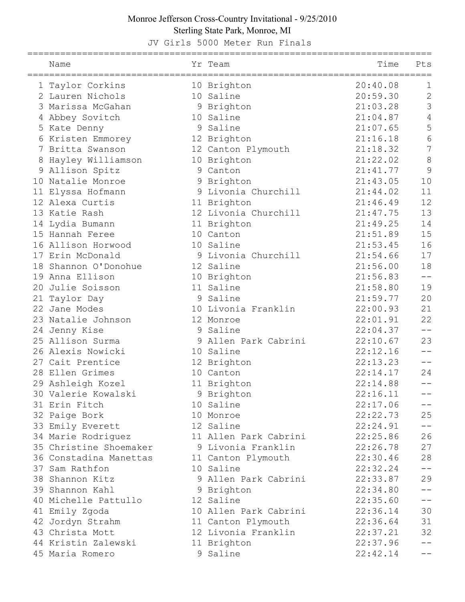JV Girls 5000 Meter Run Finals

|   | Name                   | Yr Team               | Time     | Pts             |
|---|------------------------|-----------------------|----------|-----------------|
|   | 1 Taylor Corkins       | 10 Brighton           | 20:40.08 | $\mathbf 1$     |
|   | 2 Lauren Nichols       | 10 Saline             | 20:59.30 | $\overline{2}$  |
|   | 3 Marissa McGahan      | 9 Brighton            | 21:03.28 | $\overline{3}$  |
|   | 4 Abbey Sovitch        | 10 Saline             | 21:04.87 | $\overline{4}$  |
|   | 5 Kate Denny           | 9 Saline              | 21:07.65 | 5               |
|   | 6 Kristen Emmorey      | 12 Brighton           | 21:16.18 | $6\phantom{.}6$ |
|   | 7 Britta Swanson       | 12 Canton Plymouth    | 21:18.32 | $\overline{7}$  |
| 8 | Hayley Williamson      | 10 Brighton           | 21:22.02 | 8               |
|   | 9 Allison Spitz        | 9 Canton              | 21:41.77 | 9               |
|   | 10 Natalie Monroe      | 9 Brighton            | 21:43.05 | 10              |
|   | 11 Elyssa Hofmann      | 9 Livonia Churchill   | 21:44.02 | 11              |
|   | 12 Alexa Curtis        | 11 Brighton           | 21:46.49 | 12              |
|   | 13 Katie Rash          | 12 Livonia Churchill  | 21:47.75 | 13              |
|   | 14 Lydia Bumann        | 11 Brighton           | 21:49.25 | 14              |
|   | 15 Hannah Feree        | 10 Canton             | 21:51.89 | 15              |
|   | 16 Allison Horwood     | 10 Saline             | 21:53.45 | 16              |
|   | 17 Erin McDonald       | 9 Livonia Churchill   | 21:54.66 | 17              |
|   | 18 Shannon O'Donohue   | 12 Saline             | 21:56.00 | 18              |
|   | 19 Anna Ellison        | 10 Brighton           | 21:56.83 | $-1$            |
|   | 20 Julie Soisson       | 11 Saline             | 21:58.80 | 19              |
|   | 21 Taylor Day          | 9 Saline              | 21:59.77 | 20              |
|   | 22 Jane Modes          | 10 Livonia Franklin   | 22:00.93 | 21              |
|   | 23 Natalie Johnson     | 12 Monroe             | 22:01.91 | 22              |
|   | 24 Jenny Kise          | 9 Saline              | 22:04.37 | $- -$           |
|   | 25 Allison Surma       | 9 Allen Park Cabrini  | 22:10.67 | 23              |
|   | 26 Alexis Nowicki      | 10 Saline             | 22:12.16 |                 |
|   | 27 Cait Prentice       | 12 Brighton           | 22:13.23 | $- -$           |
|   | 28 Ellen Grimes        | 10 Canton             | 22:14.17 | 24              |
|   | 29 Ashleigh Kozel      | 11 Brighton           | 22:14.88 |                 |
|   | 30 Valerie Kowalski    | 9 Brighton            | 22:16.11 |                 |
|   | 31 Erin Fitch          | 10 Saline             | 22:17.06 |                 |
|   | 32 Paige Bork          | 10 Monroe             | 22:22.73 | 25              |
|   | 33 Emily Everett       | 12 Saline             | 22:24.91 |                 |
|   | 34 Marie Rodriguez     | 11 Allen Park Cabrini | 22:25.86 | 26              |
|   | 35 Christine Shoemaker | 9 Livonia Franklin    | 22:26.78 | 27              |
|   | 36 Constadina Manettas | 11 Canton Plymouth    | 22:30.46 | 28              |
|   | 37 Sam Rathfon         | 10 Saline             | 22:32.24 | --              |
|   | 38 Shannon Kitz        | 9 Allen Park Cabrini  | 22:33.87 | 29              |
|   | 39 Shannon Kahl        | 9 Brighton            | 22:34.80 |                 |
|   | 40 Michelle Pattullo   | 12 Saline             | 22:35.60 | --              |
|   | 41 Emily Zgoda         | 10 Allen Park Cabrini | 22:36.14 | 30              |
|   | 42 Jordyn Strahm       | 11 Canton Plymouth    | 22:36.64 | 31              |
|   | 43 Christa Mott        | 12 Livonia Franklin   | 22:37.21 | 32              |
|   | 44 Kristin Zalewski    | 11 Brighton           | 22:37.96 |                 |
|   | 45 Maria Romero        | 9 Saline              | 22:42.14 |                 |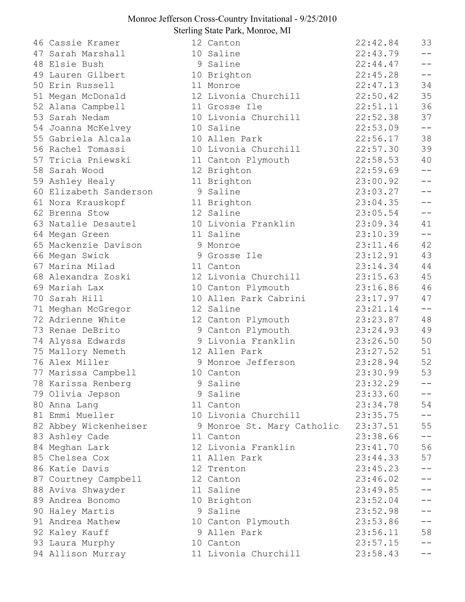|    | 46 Cassie Kramer       | 12 Canton                  | 22:42.84 | 33              |
|----|------------------------|----------------------------|----------|-----------------|
| 47 | Sarah Marshall         | 10 Saline                  | 22:43.79 | $- -$           |
|    | 48 Elsie Bush          | 9 Saline                   | 22:44.47 | $ -$            |
|    | 49 Lauren Gilbert      | 10 Brighton                | 22:45.28 | $- -$           |
|    | 50 Erin Russell        | 11 Monroe                  | 22:47.13 | 34              |
|    | 51 Megan McDonald      | 12 Livonia Churchill       | 22:50.42 | 35              |
|    | 52 Alana Campbell      | 11 Grosse Ile              | 22:51.11 | 36              |
|    | 53 Sarah Nedam         | 10 Livonia Churchill       | 22:52.38 | 37              |
|    | 54 Joanna McKelvey     | 10 Saline                  | 22:53.09 | $- -$           |
|    | 55 Gabriela Alcala     | 10 Allen Park              | 22:56.17 | 38              |
|    | 56 Rachel Tomassi      | 10 Livonia Churchill       | 22:57.30 | 39              |
|    | 57 Tricia Pniewski     | 11 Canton Plymouth         | 22:58.53 | 40              |
|    | 58 Sarah Wood          | 12 Brighton                | 22:59.69 | $-\,-$          |
|    | 59 Ashley Healy        | 11 Brighton                | 23:00.92 | $-1$            |
|    | 60 Elizabeth Sanderson | 9 Saline                   | 23:03.27 | $ -$            |
|    | 61 Nora Krauskopf      | 11 Brighton                | 23:04.35 | $ -$            |
|    | 62 Brenna Stow         | 12 Saline                  | 23:05.54 | $- -$           |
|    | 63 Natalie Desautel    | 10 Livonia Franklin        | 23:09.34 | 41              |
|    | 64 Megan Green         | 11 Saline                  | 23:10.39 | $-\,-$          |
|    | 65 Mackenzie Davison   | 9 Monroe                   | 23:11.46 | 42              |
|    | 66 Megan Swick         | 9 Grosse Ile               | 23:12.91 | 43              |
|    | 67 Marina Milad        | 11 Canton                  | 23:14.34 | 44              |
|    | 68 Alexandra Zoski     | 12 Livonia Churchill       | 23:15.63 | 45              |
|    | 69 Mariah Lax          | 10 Canton Plymouth         | 23:16.86 | 46              |
|    | 70 Sarah Hill          | 10 Allen Park Cabrini      | 23:17.97 | 47              |
|    | 71 Meghan McGregor     | 12 Saline                  | 23:21.14 | $-\,-$          |
|    | 72 Adrienne White      | 12 Canton Plymouth         | 23:23.87 | 48              |
|    | 73 Renae DeBrito       | 9 Canton Plymouth          | 23:24.93 | 49              |
|    | 74 Alyssa Edwards      | 9 Livonia Franklin         | 23:26.50 | 50              |
|    | 75 Mallory Nemeth      | 12 Allen Park              | 23:27.52 | 51              |
|    | 76 Alex Miller         | 9 Monroe Jefferson         | 23:28.94 | 52              |
|    | 77 Marissa Campbell    | 10 Canton                  | 23:30.99 | 53              |
|    | 78 Karissa Renberg     | 9 Saline                   | 23:32.29 | --              |
|    | 79 Olivia Jepson       | 9 Saline                   | 23:33.60 | $- -$           |
|    | 80 Anna Lang           | 11 Canton                  | 23:34.78 | 54              |
|    | 81 Emmi Mueller        | 10 Livonia Churchill       | 23:35.75 | $- -$           |
|    | 82 Abbey Wickenheiser  | 9 Monroe St. Mary Catholic | 23:37.51 | 55              |
|    | 83 Ashley Cade         | 11 Canton                  | 23:38.66 | $- -$           |
|    | 84 Meghan Lark         | 12 Livonia Franklin        | 23:41.70 | 56              |
|    | 85 Chelsea Cox         | 11 Allen Park              | 23:44.33 | 57              |
|    | 86 Katie Davis         | 12 Trenton                 | 23:45.23 | $\perp$ $\perp$ |
|    | 87 Courtney Campbell   | 12 Canton                  | 23:46.02 | $\perp$ $\perp$ |
|    | 88 Aviva Shwayder      | 11 Saline                  | 23:49.85 | $- -$           |
|    | 89 Andrea Bonomo       | 10 Brighton                | 23:52.04 | $- -$           |
|    | 90 Haley Martis        | 9 Saline                   | 23:52.98 |                 |
|    | 91 Andrea Mathew       | 10 Canton Plymouth         | 23:53.86 | $ -$            |
|    | 92 Kaley Kauff         | 9 Allen Park               | 23:56.11 | 58              |
|    | 93 Laura Murphy        | 10 Canton                  | 23:57.15 | $ -$            |
|    | 94 Allison Murray      | 11 Livonia Churchill       | 23:58.43 | $-1$            |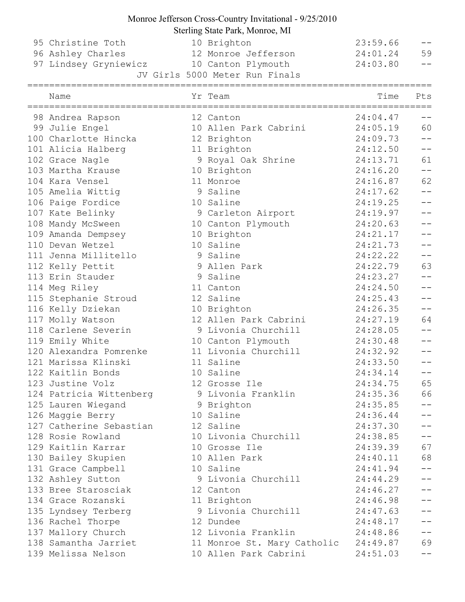# Monroe Jefferson Cross-Country Invitational - 9/25/2010

|                         | Sterling State Park, Monroe, MI |          |                                                   |
|-------------------------|---------------------------------|----------|---------------------------------------------------|
| 95 Christine Toth       | 10 Brighton                     | 23:59.66 |                                                   |
| 96 Ashley Charles       | 12 Monroe Jefferson             | 24:01.24 | 59                                                |
| 97 Lindsey Gryniewicz   | 10 Canton Plymouth              | 24:03.80 | $-1$                                              |
|                         | JV Girls 5000 Meter Run Finals  |          |                                                   |
| Name                    | Yr Team                         | Time     | Pts                                               |
| 98 Andrea Rapson        | 12 Canton                       | 24:04.47 | $-\,-$                                            |
| 99 Julie Engel          | 10 Allen Park Cabrini           | 24:05.19 | 60                                                |
| 100 Charlotte Hincka    | 12 Brighton                     | 24:09.73 |                                                   |
| 101 Alicia Halberg      | 11 Brighton                     | 24:12.50 | $\overline{\phantom{m}}$ $\overline{\phantom{m}}$ |
| 102 Grace Nagle         | 9 Royal Oak Shrine              | 24:13.71 | 61                                                |
| 103 Martha Krause       | 10 Brighton                     | 24:16.20 | $\qquad \qquad -$                                 |
| 104 Kara Vensel         | 11 Monroe                       | 24:16.87 | 62                                                |
| 105 Amelia Wittig       | 9 Saline                        | 24:17.62 | $\overline{\phantom{m}}$ $\overline{\phantom{m}}$ |
| 106 Paige Fordice       | 10 Saline                       | 24:19.25 |                                                   |
| 107 Kate Belinky        | 9 Carleton Airport              | 24:19.97 | $\frac{1}{2}$                                     |
| 108 Mandy McSween       | 10 Canton Plymouth              | 24:20.63 | $\frac{1}{2}$                                     |
| 109 Amanda Dempsey      | 10 Brighton                     | 24:21.17 |                                                   |
| 110 Devan Wetzel        | 10 Saline                       | 24:21.73 | $\perp$ $\perp$                                   |
| 111 Jenna Millitello    | 9 Saline                        | 24:22.22 | $- -$                                             |
| 112 Kelly Pettit        | 9 Allen Park                    | 24:22.79 | 63                                                |
| 113 Erin Stauder        | 9 Saline                        | 24:23.27 | $\overline{\phantom{m}}$ $\overline{\phantom{m}}$ |
| 114 Meg Riley           | 11 Canton                       | 24:24.50 | $\frac{1}{2}$                                     |
| 115 Stephanie Stroud    | 12 Saline                       | 24:25.43 |                                                   |
| 116 Kelly Dziekan       | 10 Brighton                     | 24:26.35 | $- -$                                             |
| 117 Molly Watson        | 12 Allen Park Cabrini           | 24:27.19 | 64                                                |
| 118 Carlene Severin     | 9 Livonia Churchill             | 24:28.05 |                                                   |
| 119 Emily White         | 10 Canton Plymouth              | 24:30.48 |                                                   |
| 120 Alexandra Pomrenke  | 11 Livonia Churchill            | 24:32.92 | $\qquad \qquad -$                                 |
| 121 Marissa Klinski     | 11 Saline                       | 24:33.50 | --                                                |
| 122 Kaitlin Bonds       | 10 Saline                       | 24:34.14 | $- -$                                             |
| 123 Justine Volz        | 12 Grosse Ile                   | 24:34.75 | 65                                                |
| 124 Patricia Wittenberg | 9 Livonia Franklin              | 24:35.36 | 66                                                |
| 125 Lauren Wiegand      | 9 Brighton                      | 24:35.85 | $\perp$ $\perp$                                   |
| 126 Maggie Berry        | 10 Saline                       | 24:36.44 | $- -$                                             |
| 127 Catherine Sebastian | 12 Saline                       | 24:37.30 | $ -$                                              |
| 128 Rosie Rowland       | 10 Livonia Churchill            | 24:38.85 | $\perp$ $\perp$                                   |
| 129 Kaitlin Karrar      | 10 Grosse Ile                   | 24:39.39 | 67                                                |
| 130 Bailey Skupien      | 10 Allen Park                   | 24:40.11 | 68                                                |
| 131 Grace Campbell      | 10 Saline                       | 24:41.94 | $\perp$ $\perp$                                   |
| 132 Ashley Sutton       | 9 Livonia Churchill             | 24:44.29 | $- -$                                             |
| 133 Bree Starosciak     | 12 Canton                       | 24:46.27 | $ -$                                              |
| 134 Grace Rozanski      | 11 Brighton                     | 24:46.98 | $- -$                                             |
| 135 Lyndsey Terberg     | 9 Livonia Churchill             | 24:47.63 | $\perp$ $\perp$                                   |
| 136 Rachel Thorpe       | 12 Dundee                       | 24:48.17 | $-$                                               |
| 137 Mallory Church      | 12 Livonia Franklin             | 24:48.86 | $-\,-$                                            |
| 138 Samantha Jarriet    | 11 Monroe St. Mary Catholic     | 24:49.87 | 69                                                |

139 Melissa Nelson 10 Allen Park Cabrini 24:51.03 --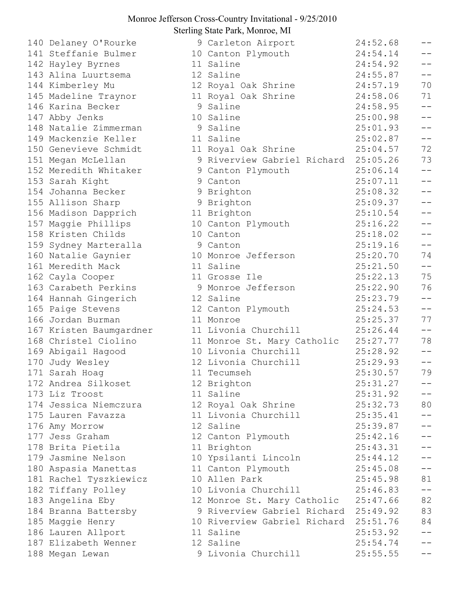|  | 140 Delaney O'Rourke    | 9 (             |                                |
|--|-------------------------|-----------------|--------------------------------|
|  | 141 Steffanie Bulmer    | 10 <sub>0</sub> |                                |
|  | 142 Hayley Byrnes       | 11:             |                                |
|  | 143 Alina Luurtsema     | 12:             |                                |
|  | 144 Kimberley Mu        | 12 <sub>1</sub> |                                |
|  | 145 Madeline Traynor    | 11 <sub>1</sub> |                                |
|  | 146 Karina Becker       | 9 :             |                                |
|  | 147 Abby Jenks          | 10:             |                                |
|  | 148 Natalie Zimmerman   | 9 :             |                                |
|  | 149 Mackenzie Keller    | 11:             |                                |
|  | 150 Genevieve Schmidt   | 11 <sub>1</sub> |                                |
|  | 151 Megan McLellan      | 9 1             |                                |
|  | 152 Meredith Whitaker   | 9 <sub>0</sub>  |                                |
|  | 153 Sarah Kight         | 9 <sup>°</sup>  |                                |
|  | 154 Johanna Becker      | 9               | $\overline{1}$                 |
|  | 155 Allison Sharp       | 9               | $\begin{array}{c} \end{array}$ |
|  | 156 Madison Dapprich    | 11 <sub>1</sub> |                                |
|  | 157 Maggie Phillips     | 10 <sub>0</sub> |                                |
|  | 158 Kristen Childs      | 10 <sub>0</sub> |                                |
|  | 159 Sydney Marteralla   | 9 <sub>0</sub>  |                                |
|  | 160 Natalie Gaynier     | 10 <sub>1</sub> |                                |
|  | 161 Meredith Mack       | 11:             |                                |
|  | 162 Cayla Cooper        | 11              |                                |
|  | 163 Carabeth Perkins    | 9 I             |                                |
|  | 164 Hannah Gingerich    | 12:             |                                |
|  | 165 Paige Stevens       | 12 <sub>0</sub> |                                |
|  | 166 Jordan Burman       | 11 <sub>1</sub> |                                |
|  | 167 Kristen Baumgardner | 11              |                                |
|  | 168 Christel Ciolino    | 11 <sub>1</sub> |                                |
|  | 169 Abigail Hagood      | $10$ :          |                                |
|  | 170 Judy Wesley         | 12:             |                                |
|  | 171 Sarah Hoag          | 11              | $\frac{1}{2}$                  |
|  | 172 Andrea Silkoset     | 12 <sub>1</sub> |                                |
|  | 173 Liz Troost          | 11:             |                                |
|  | 174 Jessica Niemczura   | 12 <sub>1</sub> |                                |
|  | 175 Lauren Favazza      | $11$ :          |                                |
|  | 176 Amy Morrow          | 12:             |                                |
|  | 177 Jess Graham         | 12 <sup>o</sup> |                                |
|  | 178 Brita Pietila       | 11 <sub>1</sub> |                                |
|  | 179 Jasmine Nelson      | 10              |                                |
|  | 180 Aspasia Manettas    | 11              |                                |
|  | 181 Rachel Tyszkiewicz  | 10              | $\frac{1}{2}$                  |
|  | 182 Tiffany Polley      | $10$ :          |                                |
|  | 183 Angelina Eby        | 12 I            |                                |
|  | 184 Branna Battersby    | 9               | $\begin{array}{c} \end{array}$ |
|  | 185 Maggie Henry        | 10 <sub>1</sub> |                                |
|  | 186 Lauren Allport      | 11:             |                                |
|  | 187 Elizabeth Wenner    | 12:             |                                |
|  | 188 Megan Lewan         | $9-1$           |                                |
|  |                         |                 |                                |

| 140 Delaney O'Rourke    | 9 Carleton Airport                    | 24:52.68 | $- -$                                             |
|-------------------------|---------------------------------------|----------|---------------------------------------------------|
| 141 Steffanie Bulmer    | 10 Canton Plymouth                    | 24:54.14 | $- -$                                             |
| 142 Hayley Byrnes       | 11 Saline                             | 24:54.92 | $ -$                                              |
| 143 Alina Luurtsema     | 12 Saline                             | 24:55.87 | $ -$                                              |
| 144 Kimberley Mu        | 12 Royal Oak Shrine                   | 24:57.19 | 70                                                |
| 145 Madeline Traynor    | 11 Royal Oak Shrine                   | 24:58.06 | 71                                                |
| 146 Karina Becker       | 9 Saline                              | 24:58.95 | $\perp$ $\perp$                                   |
| 147 Abby Jenks          | 10 Saline                             | 25:00.98 | $- -$                                             |
| 148 Natalie Zimmerman   | 9 Saline                              | 25:01.93 | $-$                                               |
| 149 Mackenzie Keller    | 11 Saline                             | 25:02.87 | $\perp$ $\perp$                                   |
| 150 Genevieve Schmidt   | 11 Royal Oak Shrine                   | 25:04.57 | 72                                                |
| 151 Megan McLellan      | 9 Riverview Gabriel Richard 25:05.26  |          | 73                                                |
| 152 Meredith Whitaker   | 9 Canton Plymouth                     | 25:06.14 | $\overline{\phantom{m}}$ $\overline{\phantom{m}}$ |
| 153 Sarah Kight         | 9 Canton                              | 25:07.11 | $\qquad \qquad -$                                 |
| 154 Johanna Becker      | 9 Brighton                            | 25:08.32 | $\perp$ $\perp$                                   |
| 155 Allison Sharp       | 9 Brighton                            | 25:09.37 | $\perp$ $\perp$                                   |
| 156 Madison Dapprich    | 11 Brighton                           | 25:10.54 | $ -$                                              |
| 157 Maggie Phillips     | 10 Canton Plymouth                    | 25:16.22 | $- -$                                             |
| 158 Kristen Childs      | 10 Canton                             | 25:18.02 | $ -$                                              |
| 159 Sydney Marteralla   | 9 Canton                              | 25:19.16 | $ -$                                              |
| 160 Natalie Gaynier     | 10 Monroe Jefferson                   | 25:20.70 | 74                                                |
| 161 Meredith Mack       | 11 Saline                             | 25:21.50 | $\overline{\phantom{m}}$ $\overline{\phantom{m}}$ |
| 162 Cayla Cooper        | 11 Grosse Ile                         | 25:22.13 | 75                                                |
| 163 Carabeth Perkins    | 9 Monroe Jefferson                    | 25:22.90 | 76                                                |
| 164 Hannah Gingerich    | 12 Saline                             | 25:23.79 | $\perp$ $\perp$                                   |
| 165 Paige Stevens       | 12 Canton Plymouth                    | 25:24.53 | $-\,-$                                            |
| 166 Jordan Burman       | 11 Monroe                             | 25:25.37 | 77                                                |
| 167 Kristen Baumgardner | 11 Livonia Churchill                  | 25:26.44 | $\qquad \qquad -$                                 |
| 168 Christel Ciolino    | 11 Monroe St. Mary Catholic           | 25:27.77 | 78                                                |
| 169 Abigail Hagood      | 10 Livonia Churchill                  | 25:28.92 | $ -$                                              |
| 170 Judy Wesley         | 12 Livonia Churchill                  | 25:29.93 | $- -$                                             |
| 171 Sarah Hoag          | 11 Tecumseh                           | 25:30.57 | 79                                                |
| 172 Andrea Silkoset     | 12 Brighton                           | 25:31.27 | $- -$                                             |
| 173 Liz Troost          | 11 Saline                             | 25:31.92 | $- -$                                             |
| 174 Jessica Niemczura   | 12 Royal Oak Shrine                   | 25:32.73 | 80                                                |
| 175 Lauren Favazza      | 11 Livonia Churchill                  | 25:35.41 | $\perp$ $\perp$                                   |
| 176 Amy Morrow          | 12 Saline                             | 25:39.87 | $\perp$ $\perp$                                   |
| 177 Jess Graham         | 12 Canton Plymouth                    | 25:42.16 | $\perp$ $\perp$                                   |
| 178 Brita Pietila       | 11 Brighton                           | 25:43.31 | $\perp$ $\perp$                                   |
| 179 Jasmine Nelson      | 10 Ypsilanti Lincoln                  | 25:44.12 | $\perp$ $\perp$                                   |
| 180 Aspasia Manettas    | 11 Canton Plymouth                    | 25:45.08 | $\perp$ $\perp$                                   |
| 181 Rachel Tyszkiewicz  | 10 Allen Park                         | 25:45.98 | 81                                                |
| 182 Tiffany Polley      | 10 Livonia Churchill                  | 25:46.83 | $\overline{\phantom{m}}$                          |
| 183 Angelina Eby        | 12 Monroe St. Mary Catholic 25:47.66  |          | 82                                                |
| 184 Branna Battersby    | 9 Riverview Gabriel Richard 25:49.92  |          | 83                                                |
| 185 Maggie Henry        | 10 Riverview Gabriel Richard 25:51.76 |          | 84                                                |
| 186 Lauren Allport      | 11 Saline                             | 25:53.92 | $-\,-$                                            |
| 187 Elizabeth Wenner    | 12 Saline                             | 25:54.74 | $\perp$ $\perp$                                   |
| 188 Megan Lewan         | 9 Livonia Churchill                   | 25:55.55 | $- -$                                             |
|                         |                                       |          |                                                   |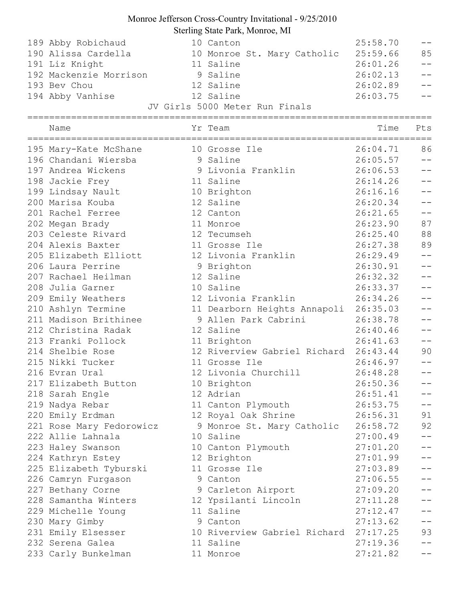| 189 Abby Robichaud<br>190 Alissa Cardella<br>191 Liz Knight<br>192 Mackenzie Morrison<br>193 Bev Chou<br>194 Abby Vanhise | 10 Canton<br>10 Monroe St. Mary Catholic 25:59.66<br>11 Saline<br>9 Saline<br>12 Saline<br>12 Saline<br>JV Girls 5000 Meter Run Finals | 25:58.70<br>26:01.26<br>26:02.13<br>26:02.89<br>26:03.75 | $- -$<br>85<br>$-1$ |
|---------------------------------------------------------------------------------------------------------------------------|----------------------------------------------------------------------------------------------------------------------------------------|----------------------------------------------------------|---------------------|
| Name                                                                                                                      | Yr Team                                                                                                                                | Time                                                     | Pts                 |
| 195 Mary-Kate McShane                                                                                                     | 10 Grosse Ile                                                                                                                          | 26:04.71                                                 | 86                  |
| 196 Chandani Wiersba                                                                                                      | 9 Saline                                                                                                                               | 26:05.57                                                 | $ -$                |
| 197 Andrea Wickens                                                                                                        | 9 Livonia Franklin                                                                                                                     | 26:06.53                                                 | $\frac{1}{2}$       |
| 198 Jackie Frey                                                                                                           | 11 Saline                                                                                                                              | 26:14.26                                                 | $ -$                |
| 199 Lindsay Nault                                                                                                         | 10 Brighton                                                                                                                            | 26:16.16                                                 | $-1$                |
| 200 Marisa Kouba                                                                                                          | 12 Saline                                                                                                                              | 26:20.34                                                 |                     |
| 201 Rachel Ferree                                                                                                         | 12 Canton                                                                                                                              | 26:21.65                                                 | $ -$                |
| 202 Megan Brady                                                                                                           | 11 Monroe                                                                                                                              | 26:23.90                                                 | 87                  |
| 203 Celeste Rivard                                                                                                        | 12 Tecumseh                                                                                                                            | 26:25.40                                                 | 88                  |
| 204 Alexis Baxter                                                                                                         | 11 Grosse Ile                                                                                                                          | 26:27.38                                                 | 89                  |
| 205 Elizabeth Elliott                                                                                                     | 12 Livonia Franklin                                                                                                                    | 26:29.49                                                 | $ -$                |
| 206 Laura Perrine                                                                                                         | 9 Brighton                                                                                                                             | 26:30.91                                                 |                     |
| 207 Rachael Heilman                                                                                                       | 12 Saline                                                                                                                              | 26:32.32                                                 |                     |
| 208 Julia Garner                                                                                                          | 10 Saline                                                                                                                              | 26:33.37                                                 | --                  |
| 209 Emily Weathers                                                                                                        | 12 Livonia Franklin                                                                                                                    | 26:34.26                                                 | $ -$                |
| 210 Ashlyn Termine                                                                                                        | 11 Dearborn Heights Annapoli 26:35.03                                                                                                  |                                                          | $-1$                |
| 211 Madison Brithinee                                                                                                     | 9 Allen Park Cabrini 26:38.78                                                                                                          |                                                          | --                  |
| 212 Christina Radak                                                                                                       | 12 Saline                                                                                                                              | 26:40.46                                                 |                     |
| 213 Franki Pollock                                                                                                        | 11 Brighton                                                                                                                            | 26:41.63                                                 | $ -$                |
| 214 Shelbie Rose                                                                                                          | 12 Riverview Gabriel Richard 26:43.44                                                                                                  |                                                          | 90                  |
| 215 Nikki Tucker                                                                                                          | 11 Grosse Ile                                                                                                                          | 26:46.97                                                 |                     |
| 216 Evran Ural                                                                                                            | 12 Livonia Churchill                                                                                                                   | 26:48.28                                                 |                     |
| 217 Elizabeth Button                                                                                                      | 10 Brighton                                                                                                                            | 26:50.36                                                 | $- -$               |
| 218 Sarah Engle                                                                                                           | 12 Adrian                                                                                                                              | 26:51.41                                                 |                     |
| 219 Nadya Rebar                                                                                                           | 11 Canton Plymouth                                                                                                                     | 26:53.75                                                 | $- -$               |
| 220 Emily Erdman                                                                                                          | 12 Royal Oak Shrine                                                                                                                    | 26:56.31                                                 | 91                  |
| 221 Rose Mary Fedorowicz                                                                                                  | 9 Monroe St. Mary Catholic                                                                                                             | 26:58.72                                                 | 92                  |
| 222 Allie Lahnala                                                                                                         | 10 Saline                                                                                                                              | 27:00.49                                                 |                     |
|                                                                                                                           |                                                                                                                                        | 27:01.20                                                 | --                  |
| 223 Haley Swanson                                                                                                         | 10 Canton Plymouth                                                                                                                     | 27:01.99                                                 | $-1$                |
| 224 Kathryn Estey                                                                                                         | 12 Brighton                                                                                                                            |                                                          | $-1$                |
| 225 Elizabeth Tyburski                                                                                                    | 11 Grosse Ile                                                                                                                          | 27:03.89                                                 |                     |
| 226 Camryn Furgason                                                                                                       | 9 Canton                                                                                                                               | 27:06.55                                                 | --                  |
| 227 Bethany Corne                                                                                                         | 9 Carleton Airport                                                                                                                     | 27:09.20                                                 |                     |
| 228 Samantha Winters                                                                                                      | 12 Ypsilanti Lincoln                                                                                                                   | 27:11.28                                                 |                     |
| 229 Michelle Young                                                                                                        | 11 Saline                                                                                                                              | 27:12.47                                                 | --                  |
| 230 Mary Gimby                                                                                                            | 9 Canton                                                                                                                               | 27:13.62                                                 | $- -$               |
| 231 Emily Elsesser                                                                                                        | 10 Riverview Gabriel Richard 27:17.25                                                                                                  |                                                          | 93                  |
| 232 Serena Galea                                                                                                          | 11 Saline                                                                                                                              | 27:19.36                                                 |                     |
| 233 Carly Bunkelman                                                                                                       | 11 Monroe                                                                                                                              | 27:21.82                                                 |                     |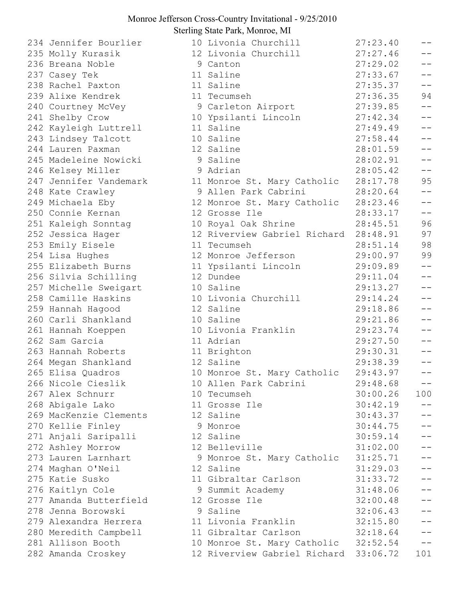234 Jennifer Bourlier 235 Molly Kurasik 236 Breana Noble 237 Casey Tek 238 Rachel Paxton 239 Alixe Kendrek 240 Courtney McVey 241 Shelby Crow 242 Kayleigh Luttrell 243 Lindsey Talcott 244 Lauren Paxman 245 Madeleine Nowicki 246 Kelsey Miller 247 Jennifer Vandemark 248 Kate Crawley 249 Michaela Eby 250 Connie Kernan 251 Kaleigh Sonntag 252 Jessica Hager 253 Emily Eisele 254 Lisa Hughes 255 Elizabeth Burns 256 Silvia Schilling 257 Michelle Sweigart 258 Camille Haskins 259 Hannah Hagood 260 Carli Shankland 261 Hannah Koeppen 262 Sam Garcia 263 Hannah Roberts 264 Megan Shankland 265 Elisa Ouadros 266 Nicole Cieslik 267 Alex Schnurr 268 Abigale Lako 269 MacKenzie Clements 270 Kellie Finley 271 Anjali Saripalli 272 Ashley Morrow 273 Lauren Larnhart 274 Maghan O'Neil 275 Katie Susko 276 Kaitlyn Cole 277 Amanda Butterfield 278 Jenna Borowski 279 Alexandra Herrera 280 Meredith Campbell 281 Allison Booth 282 Amanda Croskey

| 10 Livonia Churchill                  | 27:23.40 |      |
|---------------------------------------|----------|------|
| 12 Livonia Churchill                  | 27:27.46 |      |
| 9 Canton                              | 27:29.02 | $ -$ |
| 11 Saline                             | 27:33.67 | $-$  |
| 11 Saline                             | 27:35.37 | $ -$ |
| 11 Tecumseh                           | 27:36.35 | 94   |
| 9 Carleton Airport                    | 27:39.85 | $-$  |
| 10 Ypsilanti Lincoln                  | 27:42.34 | $-$  |
| 11 Saline                             | 27:49.49 | $ -$ |
| 10 Saline                             | 27:58.44 | $ -$ |
| 12 Saline                             | 28:01.59 | $-$  |
| 9 Saline                              | 28:02.91 | $ -$ |
| 9 Adrian                              | 28:05.42 | $-$  |
| 11 Monroe St. Mary Catholic 28:17.78  |          | 95   |
| 9 Allen Park Cabrini                  | 28:20.64 | $ -$ |
| 12 Monroe St. Mary Catholic           | 28:23.46 | $-$  |
| 12 Grosse Ile                         | 28:33.17 | $-$  |
| 10 Royal Oak Shrine                   | 28:45.51 | 96   |
| 12 Riverview Gabriel Richard 28:48.91 |          | 97   |
| 11 Tecumseh                           | 28:51.14 | 98   |
| 12 Monroe Jefferson                   | 29:00.97 | 99   |
| 11 Ypsilanti Lincoln                  | 29:09.89 | --   |
| 12 Dundee                             | 29:11.04 | $ -$ |
| 10 Saline                             | 29:13.27 | $-$  |
| 10 Livonia Churchill                  | 29:14.24 | $-$  |
| 12 Saline                             | 29:18.86 | $ -$ |
| 10 Saline                             | 29:21.86 | $ -$ |
| 10 Livonia Franklin                   | 29:23.74 | --   |
| 11 Adrian                             | 29:27.50 | $-$  |
| 11 Brighton                           | 29:30.31 |      |
| 12 Saline                             | 29:38.39 |      |
| 10 Monroe St. Mary Catholic           | 29:43.97 | $-$  |
| 10 Allen Park Cabrini                 | 29:48.68 |      |
| 10 Tecumseh                           | 30:00.26 | 100  |
| 11 Grosse Ile                         | 30:42.19 |      |
| 12 Saline                             | 30:43.37 |      |
| 9 Monroe                              | 30:44.75 |      |
| 12 Saline                             | 30:59.14 |      |
| 12 Belleville                         | 31:02.00 |      |
| 9 Monroe St. Mary Catholic            | 31:25.71 |      |
| 12 Saline                             | 31:29.03 | $ -$ |
| 11 Gibraltar Carlson                  | 31:33.72 | $ -$ |
| 9 Summit Academy                      | 31:48.06 |      |
| 12 Grosse Ile                         | 32:00.48 |      |
| 9 Saline                              | 32:06.43 |      |
| 11 Livonia Franklin                   | 32:15.80 |      |
| 11 Gibraltar Carlson                  | 32:18.64 | --   |
| 10 Monroe St. Mary Catholic 32:52.54  |          |      |
|                                       |          |      |
| 12 Riverview Gabriel Richard          | 33:06.72 | 101  |